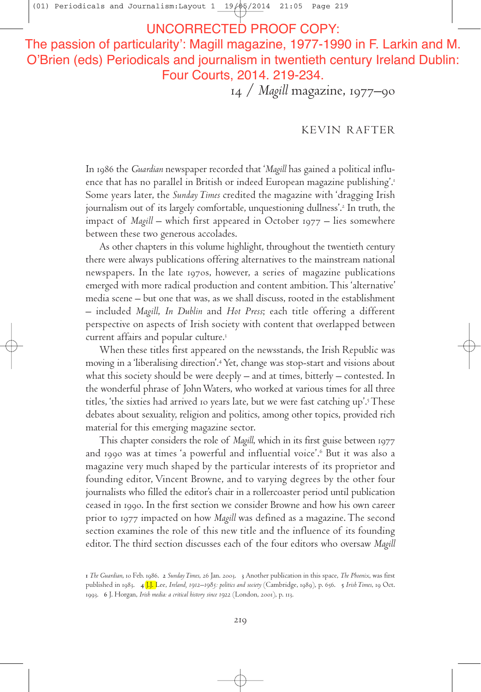(01) Periodicals and Journalism: Layout  $1 \quad 19/05/2014 \quad 21:05$  Page 219

# RRECTED PROOF COPY:

The passion of particularity': Magill magazine, 1977-1990 in F. Larkin and M. O'Brien (eds) Periodicals and journalism in twentieth century Ireland Dublin: Four Courts, 2014. 219-234.

14 / *Magill* magazine, 1977–90

## KEVIN RAFTER

In 1986 the *Guardian* newspaper recorded that '*Magill* has gained a political influence that has no parallel in British or indeed European magazine publishing'. Some years later, the *Sunday Times* credited the magazine with 'dragging Irish journalism out of its largely comfortable, unquestioning dullness'. In truth, the impact of *Magill* – which first appeared in October 1977 – lies somewhere between these two generous accolades.

As other chapters in this volume highlight, throughout the twentieth century there were always publications offering alternatives to the mainstream national newspapers. In the late 1970s, however, a series of magazine publications emerged with more radical production and content ambition.This 'alternative' media scene – but one that was, as we shall discuss, rooted in the establishment – included *Magill*, *In Dublin* and *Hot Press*; each title offering a different perspective on aspects of Irish society with content that overlapped between current affairs and popular culture.

When these titles first appeared on the newsstands, the Irish Republic was moving in a'liberalising direction'. Yet, change was stop-start and visions about what this society should be were deeply – and at times, bitterly – contested. In the wonderful phrase of JohnWaters, who worked at various times for all three titles, 'the sixties had arrived 10 years late, but we were fast catching up'.<sup>5</sup> These debates about sexuality, religion and politics, among other topics, provided rich material for this emerging magazine sector.

This chapter considers the role of *Magill*, which in its first guise between and 1990 was at times 'a powerful and influential voice'.<sup>6</sup> But it was also a magazine very much shaped by the particular interests of its proprietor and founding editor, Vincent Browne, and to varying degrees by the other four journalists who filled the editor's chair in a rollercoaster period until publication ceased in 1990. In the first section we consider Browne and how his own career prior to 1977 impacted on how *Magill* was defined as a magazine. The second section examines the role of this new title and the influence of its founding editor.The third section discusses each of the four editors who oversaw *Magill*

*The Guardian*, to Feb. 1986. 2 Sunday Times, 26 Jan. 2003. 3 Another publication in this space, *The Phoenix*, was first published in 1983. 4<sup>[J.J. Lee, Ireland, 1912–1985: politics and society (Cambridge, 1989), p. 656. 5 Irish Times, 19 Oct.</sup> 1993. 6 J. Horgan, *Irish media: a critical history since* 1922 (London, 2001), p. 113.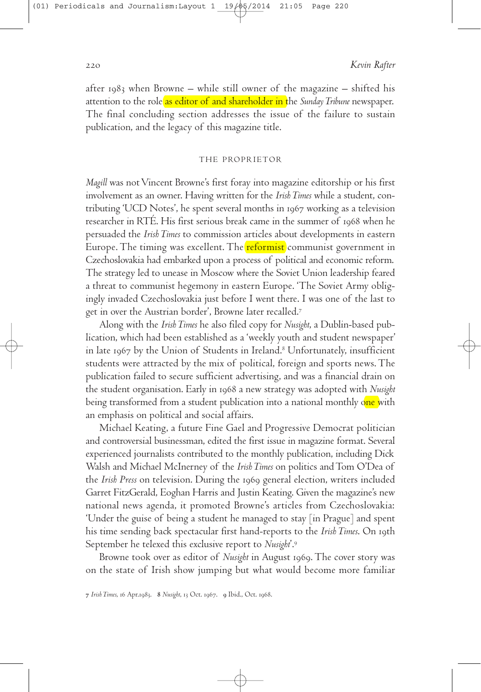after  $1983$  when Browne – while still owner of the magazine – shifted his attention to the role as editor of and shareholder in the *Sunday Tribune* newspaper. The final concluding section addresses the issue of the failure to sustain publication, and the legacy of this magazine title.

#### THE PROPRIETOR

*Magill* was not Vincent Browne's first foray into magazine editorship or his first involvement as an owner. Having written for the *IrishTimes* while a student, contributing 'UCD Notes', he spent several months in 1967 working as a television researcher in RTE. His first serious break came in the summer of 1968 when he persuaded the *Irish Times* to commission articles about developments in eastern Europe. The timing was excellent. The <mark>reformist</mark> communist government in Czechoslovakia had embarked upon a process of political and economic reform. The strategy led to unease in Moscow where the Soviet Union leadership feared a threat to communist hegemony in eastern Europe. 'The Soviet Army obligingly invaded Czechoslovakia just before I went there. I was one of the last to get in over the Austrian border', Browne later recalled.

Along with the *IrishTimes* he also filed copy for *Nusight*, a Dublin-based publication, which had been established as a'weekly youth and student newspaper' in late by the Union of Students in Ireland. Unfortunately, insufficient students were attracted by the mix of political, foreign and sports news.The publication failed to secure sufficient advertising, and was a financial drain on the student organisation. Early in 1968 a new strategy was adopted with *Nusight* being transformed from a student publication into a national monthly one with an emphasis on political and social affairs.

Michael Keating, a future Fine Gael and Progressive Democrat politician and controversial businessman, edited the first issue in magazine format. Several experienced journalists contributed to the monthly publication, including Dick Walsh and Michael McInerney of the *Irish Times* on politics and Tom O'Dea of the *Irish Press* on television. During the general election, writers included Garret FitzGerald, Eoghan Harris and Justin Keating. Given the magazine's new national news agenda, it promoted Browne's articles from Czechoslovakia: 'Under the guise of being a student he managed to stay [in Prague] and spent his time sending back spectacular first hand-reports to the *Irish Times*. On 19th September he telexed this exclusive report to *Nusight*'.

Browne took over as editor of *Nusight* in August 1969. The cover story was on the state of Irish show jumping but what would become more familiar

7 Irish Times, 16 Apr.1983. 8 Nusight, 13 Oct. 1967. 9 Ibid., Oct. 1968.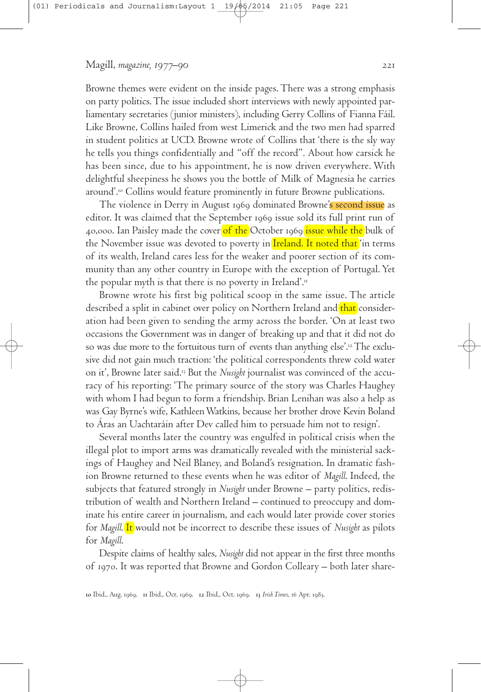Browne themes were evident on the inside pages.There was a strong emphasis on party politics.The issue included short interviews with newly appointed parliamentary secretaries (junior ministers), including Gerry Collins of Fianna Fáil. Like Browne, Collins hailed from west Limerick and the two men had sparred in student politics at UCD. Browne wrote of Collins that 'there is the sly way he tells you things confidentially and "off the record". About how carsick he has been since, due to his appointment, he is now driven everywhere. With delightful sheepiness he shows you the bottle of Milk of Magnesia he carries around'. Collins would feature prominently in future Browne publications.

The violence in Derry in August 1969 dominated Browne's second issue as editor. It was claimed that the September 1969 issue sold its full print run of 40,000. Ian Paisley made the cover of the October 1969 issue while the bulk of the November issue was devoted to poverty in Ireland. It noted that 'in terms of its wealth, Ireland cares less for the weaker and poorer section of its community than any other country in Europe with the exception of Portugal.Yet the popular myth is that there is no poverty in Ireland'.

Browne wrote his first big political scoop in the same issue. The article described a split in cabinet over policy on Northern Ireland and that consideration had been given to sending the army across the border. 'On at least two occasions the Government was in danger of breaking up and that it did not do so was due more to the fortuitous turn of events than anything else'. The exclusive did not gain much traction: 'the political correspondents threw cold water on it', Browne later said.<sup>13</sup> But the *Nusight* journalist was convinced of the accuracy of his reporting: 'The primary source of the story was Charles Haughey with whom I had begun to form a friendship. Brian Lenihan was also a help as was Gay Byrne's wife, KathleenWatkins, because her brother drove Kevin Boland to Áras an Uachtaráin after Dev called him to persuade him not to resign'.

Several months later the country was engulfed in political crisis when the illegal plot to import arms was dramatically revealed with the ministerial sackings of Haughey and Neil Blaney, and Boland's resignation. In dramatic fashion Browne returned to these events when he was editor of *Magill*. Indeed, the subjects that featured strongly in *Nusight* under Browne – party politics, redistribution of wealth and Northern Ireland – continued to preoccupy and dominate his entire career in journalism, and each would later provide cover stories for *Magill*. It would not be incorrect to describe these issues of *Nusight* as pilots for *Magill*.

Despite claims of healthy sales, *Nusight* did not appear in the first three months of 1970. It was reported that Browne and Gordon Colleary – both later share-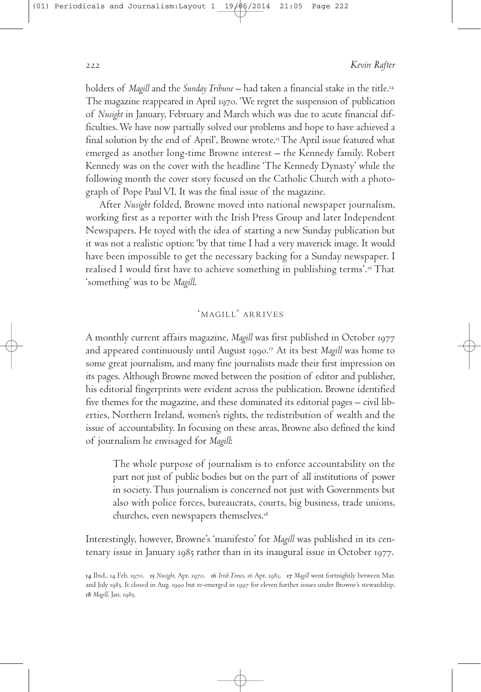holders of *Magill* and the *SundayTribune* – had taken a financial stake in the title. The magazine reappeared in April 1970. 'We regret the suspension of publication of *Nusight* in January, February and March which was due to acute financial difficulties.We have now partially solved our problems and hope to have achieved a final solution by the end of April', Browne wrote. The April issue featured what emerged as another long-time Browne interest – the Kennedy family. Robert Kennedy was on the cover with the headline 'The Kennedy Dynasty' while the following month the cover story focused on the Catholic Church with a photograph of Pope Paul VI. It was the final issue of the magazine.

After *Nusight* folded, Browne moved into national newspaper journalism, working first as a reporter with the Irish Press Group and later Independent Newspapers. He toyed with the idea of starting a new Sunday publication but it was not a realistic option: 'by that time I had a very maverick image. It would have been impossible to get the necessary backing for a Sunday newspaper. I realised I would first have to achieve something in publishing terms'. That 'something' was to be *Magill*.

## 'MAGILL' ARRIVES

A monthly current affairs magazine, *Magill* was first published in October and appeared continuously until August 1990.<sup>17</sup> At its best *Magill* was home to some great journalism, and many fine journalists made their first impression on its pages. Although Browne moved between the position of editor and publisher, his editorial fingerprints were evident across the publication. Browne identified five themes for the magazine, and these dominated its editorial pages – civil liberties, Northern Ireland, women's rights, the redistribution of wealth and the issue of accountability. In focusing on these areas, Browne also defined the kind of journalism he envisaged for *Magill*:

The whole purpose of journalism is to enforce accountability on the part not just of public bodies but on the part of all institutions of power in society.Thus journalism is concerned not just with Governments but also with police forces, bureaucrats, courts, big business, trade unions, churches, even newspapers themselves.

Interestingly, however, Browne's 'manifesto' for *Magill* was published in its centenary issue in January  $1985$  rather than in its inaugural issue in October 1977.

<sup>14</sup> Ibid., 14 Feb. 1970. 15 Nusight, Apr. 1970. 16 Irish Times, 16 Apr. 1983. 17 Magill went fortnightly between Mar. and July 1985. It closed in Aug. 1990 but re-emerged in 1997 for eleven further issues under Browne's stewardship. 18 *Magill*, Jan. 1985.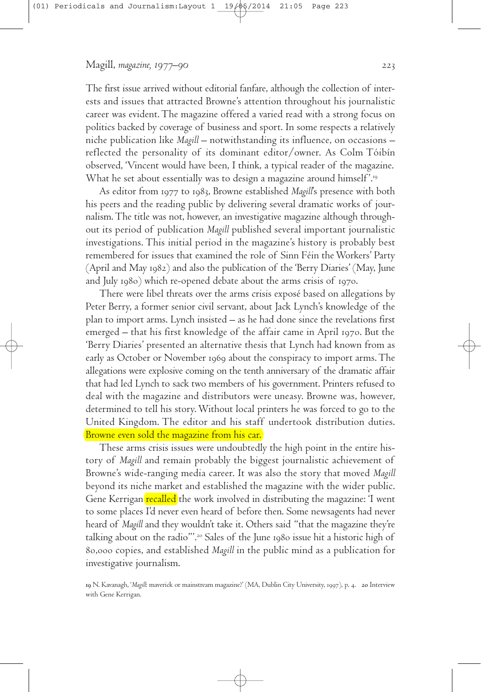The first issue arrived without editorial fanfare, although the collection of interests and issues that attracted Browne's attention throughout his journalistic career was evident.The magazine offered a varied read with a strong focus on politics backed by coverage of business and sport. In some respects a relatively niche publication like *Magill* – notwithstanding its influence, on occasions – reflected the personality of its dominant editor/owner. As Colm Tóibín observed, 'Vincent would have been, I think, a typical reader of the magazine. What he set about essentially was to design a magazine around himself'." $^{\circ}$ 

As editor from 1977 to 1983, Browne established *Magill*'s presence with both his peers and the reading public by delivering several dramatic works of journalism.The title was not, however, an investigative magazine although throughout its period of publication *Magill* published several important journalistic investigations. This initial period in the magazine's history is probably best remembered for issues that examined the role of Sinn Féin theWorkers' Party (April and May 1982) and also the publication of the 'Berry Diaries' (May, June and July  $1980$ ) which re-opened debate about the arms crisis of  $1970$ .

There were libel threats over the arms crisis exposé based on allegations by Peter Berry, a former senior civil servant, about Jack Lynch's knowledge of the plan to import arms. Lynch insisted – as he had done since the revelations first emerged  $-$  that his first knowledge of the affair came in April 1970. But the 'Berry Diaries' presented an alternative thesis that Lynch had known from as early as October or November 1969 about the conspiracy to import arms. The allegations were explosive coming on the tenth anniversary of the dramatic affair that had led Lynch to sack two members of his government. Printers refused to deal with the magazine and distributors were uneasy. Browne was, however, determined to tell his story.Without local printers he was forced to go to the United Kingdom. The editor and his staff undertook distribution duties. Browne even sold the magazine from his car.

These arms crisis issues were undoubtedly the high point in the entire history of *Magill* and remain probably the biggest journalistic achievement of Browne's wide-ranging media career. It was also the story that moved *Magill* beyond its niche market and established the magazine with the wider public. Gene Kerrigan recalled the work involved in distributing the magazine: 'I went to some places I'd never even heard of before then. Some newsagents had never heard of *Magill* and they wouldn't take it. Others said "that the magazine they're talking about on the radio"'. Sales of the June issue hit a historic high of 80,000 copies, and established *Magill* in the public mind as a publication for investigative journalism.

19 N. Kavanagh, '*Magill*: maverick or mainstream magazine?' (MA, Dublin City University, 1997), p. 4. 20 Interview with Gene Kerrigan.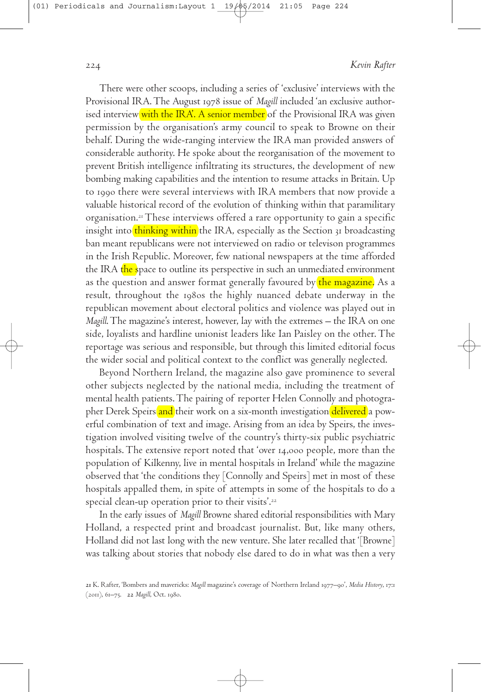There were other scoops, including a series of 'exclusive' interviews with the Provisional IRA. The August 1978 issue of *Magill* included 'an exclusive authorised interview with the IRA'. A senior member of the Provisional IRA was given permission by the organisation's army council to speak to Browne on their behalf. During the wide-ranging interview the IRA man provided answers of considerable authority. He spoke about the reorganisation of the movement to prevent British intelligence infiltrating its structures, the development of new bombing making capabilities and the intention to resume attacks in Britain. Up to 1990 there were several interviews with IRA members that now provide a valuable historical record of the evolution of thinking within that paramilitary organisation. These interviews offered a rare opportunity to gain a specific insight into thinking within the IRA, especially as the Section 31 broadcasting ban meant republicans were not interviewed on radio or televison programmes in the Irish Republic. Moreover, few national newspapers at the time afforded the IRA the space to outline its perspective in such an unmediated environment as the question and answer format generally favoured by the magazine. As a result, throughout the 1980s the highly nuanced debate underway in the republican movement about electoral politics and violence was played out in *Magill*.The magazine's interest, however, lay with the extremes – the IRA on one side, loyalists and hardline unionist leaders like Ian Paisley on the other.The reportage was serious and responsible, but through this limited editorial focus the wider social and political context to the conflict was generally neglected.

Beyond Northern Ireland, the magazine also gave prominence to several other subjects neglected by the national media, including the treatment of mental health patients.The pairing of reporter Helen Connolly and photographer Derek Speirs and their work on a six-month investigation delivered a powerful combination of text and image. Arising from an idea by Speirs, the investigation involved visiting twelve of the country's thirty-six public psychiatric hospitals. The extensive report noted that 'over 14,000 people, more than the population of Kilkenny, live in mental hospitals in Ireland' while the magazine observed that 'the conditions they [Connolly and Speirs] met in most of these hospitals appalled them, in spite of attempts in some of the hospitals to do a special clean-up operation prior to their visits'.

In the early issues of *Magill* Browne shared editorial responsibilities with Mary Holland, a respected print and broadcast journalist. But, like many others, Holland did not last long with the new venture. She later recalled that '[Browne] was talking about stories that nobody else dared to do in what was then a very

<sup>21</sup> K. Rafter, 'Bombers and mavericks: *Magill* magazine's coverage of Northern Ireland 1977–90', *Media History*, 17:1 (2011), 61-75. 22 Magill, Oct. 1980.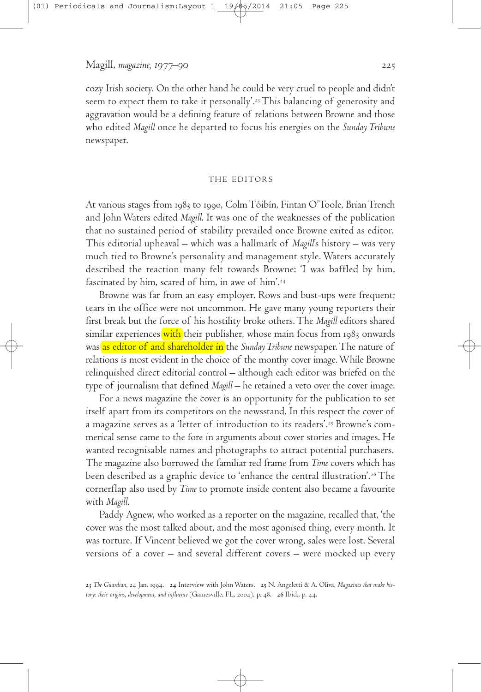cozy Irish society. On the other hand he could be very cruel to people and didn't seem to expect them to take it personally'. This balancing of generosity and aggravation would be a defining feature of relations between Browne and those who edited *Magill* once he departed to focus his energies on the *Sunday Tribune* newspaper.

#### THE EDITORS

At various stages from 1983 to 1990, Colm Tóibín, Fintan O'Toole, Brian Trench and JohnWaters edited *Magill*. It was one of the weaknesses of the publication that no sustained period of stability prevailed once Browne exited as editor. This editorial upheaval – which was a hallmark of *Magill*'s history – was very much tied to Browne's personality and management style. Waters accurately described the reaction many felt towards Browne: 'I was baffled by him, fascinated by him, scared of him, in awe of him'.

Browne was far from an easy employer. Rows and bust-ups were frequent; tears in the office were not uncommon. He gave many young reporters their first break but the force of his hostility broke others.The *Magill* editors shared similar experiences with their publisher, whose main focus from 1983 onwards was as editor of and shareholder in the *SundayTribune* newspaper.The nature of relations is most evident in the choice of the monthy cover image.While Browne relinquished direct editorial control – although each editor was briefed on the type of journalism that defined *Magill* – he retained a veto over the cover image.

For a news magazine the cover is an opportunity for the publication to set itself apart from its competitors on the newsstand. In this respect the cover of a magazine serves as a 'letter of introduction to its readers'. Browne's commerical sense came to the fore in arguments about cover stories and images. He wanted recognisable names and photographs to attract potential purchasers. The magazine also borrowed the familiar red frame from *Time* covers which has been described as a graphic device to 'enhance the central illustration'. The cornerflap also used by *Time* to promote inside content also became a favourite with *Magill*.

Paddy Agnew, who worked as a reporter on the magazine, recalled that, 'the cover was the most talked about, and the most agonised thing, every month. It was torture. If Vincent believed we got the cover wrong, sales were lost. Several versions of a cover – and several different covers – were mocked up every

<sup>23</sup> The Guardian, 24 Jan. 1994. 24 Interview with John Waters. 25 N. Angeletti & A. Oliva, *Magazines that make history: their origins, development, and influence* (Gainesville, FL, 2004), p. 48. 26 Ibid., p. 44.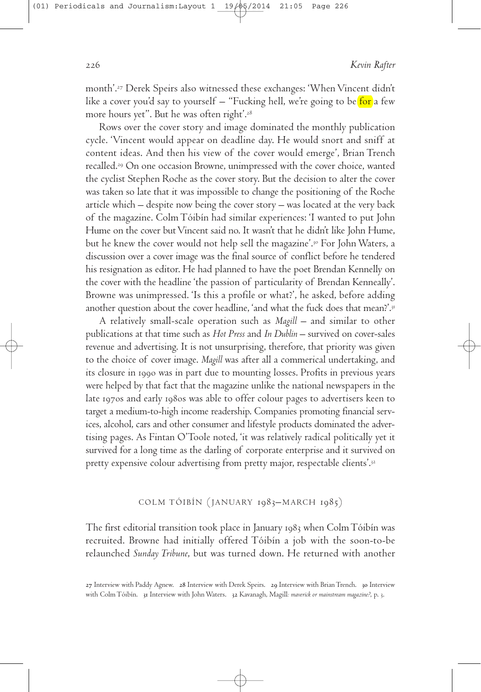month'. Derek Speirs also witnessed these exchanges: 'When Vincent didn't like a cover you'd say to yourself  $-$  "Fucking hell, we're going to be for a few more hours yet". But he was often right'.

Rows over the cover story and image dominated the monthly publication cycle. 'Vincent would appear on deadline day. He would snort and sniff at content ideas. And then his view of the cover would emerge', Brian Trench recalled. On one occasion Browne, unimpressed with the cover choice, wanted the cyclist Stephen Roche as the cover story. But the decision to alter the cover was taken so late that it was impossible to change the positioning of the Roche article which – despite now being the cover story – was located at the very back of the magazine. Colm Tóibín had similar experiences: 'I wanted to put John Hume on the cover but Vincent said no. It wasn't that he didn't like John Hume, but he knew the cover would not help sell the magazine'. For JohnWaters, a discussion over a cover image was the final source of conflict before he tendered his resignation as editor. He had planned to have the poet Brendan Kennelly on the cover with the headline 'the passion of particularity of Brendan Kenneally'. Browne was unimpressed. 'Is this a profile or what?', he asked, before adding another question about the cover headline, 'and what the fuck does that mean?'.

A relatively small-scale operation such as *Magill* – and similar to other publications at that time such as *Hot Press* and *In Dublin* – survived on cover-sales revenue and advertising. It is not unsurprising, therefore, that priority was given to the choice of cover image. *Magill* was after all a commerical undertaking, and its closure in 1990 was in part due to mounting losses. Profits in previous years were helped by that fact that the magazine unlike the national newspapers in the late 1970s and early 1980s was able to offer colour pages to advertisers keen to target a medium-to-high income readership. Companies promoting financial services, alcohol, cars and other consumer and lifestyle products dominated the advertising pages. As Fintan O'Toole noted, 'it was relatively radical politically yet it survived for a long time as the darling of corporate enterprise and it survived on pretty expensive colour advertising from pretty major, respectable clients'.

#### COLM TÓIBÍN (JANUARY 1983–MARCH 1985)

The first editorial transition took place in January 1983 when Colm Tóibín was recruited. Browne had initially offered Tóibín a job with the soon-to-be relaunched *Sunday Tribune*, but was turned down. He returned with another

<sup>27</sup> Interview with Paddy Agnew. 28 Interview with Derek Speirs. 29 Interview with Brian Trench. 30 Interview with Colm Tóibín. 31 Interview with John Waters. 32 Kavanagh, Magill: *maverick or mainstream magazine?*, p. 3.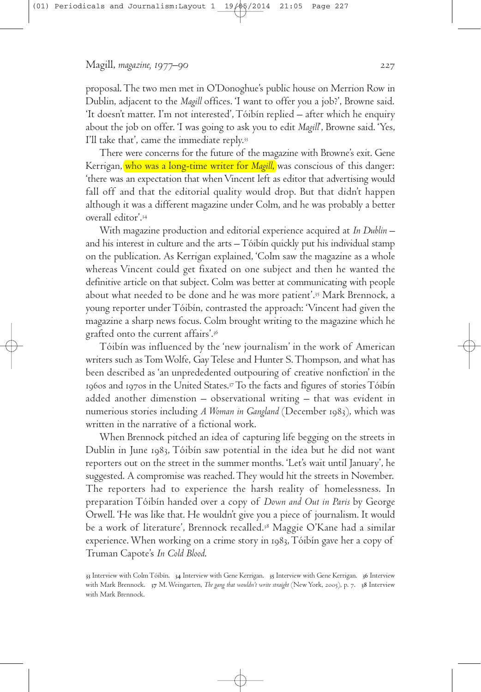proposal.The two men met in O'Donoghue's public house on Merrion Row in Dublin, adjacent to the *Magill* offices. 'I want to offer you a job?', Browne said. 'It doesn't matter. I'm not interested',Tóibín replied – after which he enquiry about the job on offer. 'I was going to ask you to edit *Magill*', Browne said. 'Yes, I'll take that', came the immediate reply.33

There were concerns for the future of the magazine with Browne's exit. Gene Kerrigan, who was a long-time writer for *Magill*, was conscious of this danger: 'there was an expectation that whenVincent left as editor that advertising would fall off and that the editorial quality would drop. But that didn't happen although it was a different magazine under Colm, and he was probably a better overall editor'.

With magazine production and editorial experience acquired at *In Dublin* – and his interest in culture and the arts –Tóibín quickly put his individual stamp on the publication. As Kerrigan explained, 'Colm saw the magazine as a whole whereas Vincent could get fixated on one subject and then he wanted the definitive article on that subject. Colm was better at communicating with people about what needed to be done and he was more patient'. Mark Brennock, a young reporter underTóibín, contrasted the approach: 'Vincent had given the magazine a sharp news focus. Colm brought writing to the magazine which he grafted onto the current affairs'.

Tóibín was influenced by the 'new journalism' in the work of American writers such as Tom Wolfe, Gay Telese and Hunter S. Thompson, and what has been described as 'an unprededented outpouring of creative nonfiction' in the 1960s and 1970s in the United States. $^{37}\mathrm{To}$  the facts and figures of stories  $\mathrm{Toibín}$ added another dimenstion – observational writing – that was evident in numerious stories including *A Woman in Gangland* (December ), which was written in the narrative of a fictional work.

When Brennock pitched an idea of capturing life begging on the streets in Dublin in June 1983, Tóibín saw potential in the idea but he did not want reporters out on the street in the summer months. 'Let's wait until January', he suggested. A compromise was reached.They would hit the streets in November. The reporters had to experience the harsh reality of homelessness. In preparation Tóibín handed over a copy of *Down and Out in Paris* by George Orwell. 'He was like that. He wouldn't give you a piece of journalism. It would be a work of literature', Brennock recalled. Maggie O'Kane had a similar experience. When working on a crime story in 1983, Tóibín gave her a copy of Truman Capote's *In Cold Blood*.

33 Interview with Colm Tóibín. 34 Interview with Gene Kerrigan. 35 Interview with Gene Kerrigan. 36 Interview with Mark Brennock. 37 M. Weingarten, *The gang that wouldn't write straight* (New York, 2005), p. 7. 38 Interview with Mark Brennock.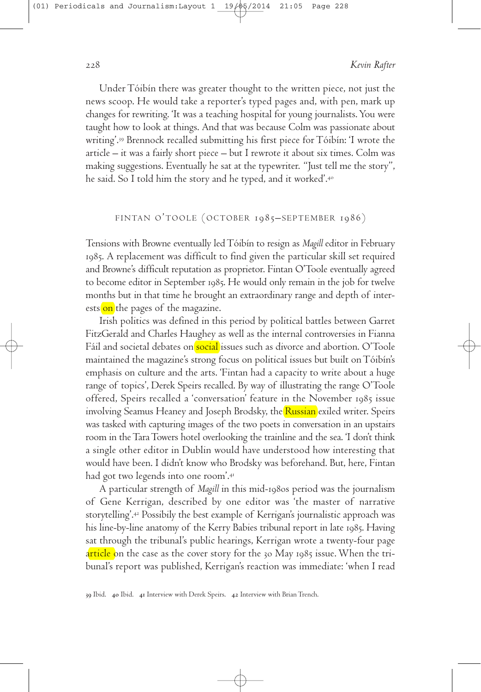UnderTóibín there was greater thought to the written piece, not just the news scoop. He would take a reporter's typed pages and, with pen, mark up changes for rewriting. 'It was a teaching hospital for young journalists.You were taught how to look at things. And that was because Colm was passionate about writing'. Brennock recalled submitting his first piece forTóibín: 'I wrote the article – it was a fairly short piece – but I rewrote it about six times. Colm was making suggestions. Eventually he sat at the typewriter. "Just tell me the story", he said. So I told him the story and he typed, and it worked'.

## FINTAN O'TOOLE (OCTOBER 1985-SEPTEMBER 1986)

Tensions with Browne eventually ledTóibín to resign as *Magill* editor in February . A replacement was difficult to find given the particular skill set required and Browne's difficult reputation as proprietor. Fintan O'Toole eventually agreed to become editor in September 1985. He would only remain in the job for twelve months but in that time he brought an extraordinary range and depth of interests on the pages of the magazine.

Irish politics was defined in this period by political battles between Garret FitzGerald and Charles Haughey as well as the internal controversies in Fianna Fáil and societal debates on social issues such as divorce and abortion. O'Toole maintained the magazine's strong focus on political issues but built onTóibín's emphasis on culture and the arts. 'Fintan had a capacity to write about a huge range of topics', Derek Speirs recalled. By way of illustrating the range O'Toole offered, Speirs recalled a 'conversation' feature in the November issue involving Seamus Heaney and Joseph Brodsky, the Russian exiled writer. Speirs was tasked with capturing images of the two poets in conversation in an upstairs room in theTaraTowers hotel overlooking the trainline and the sea. 'I don't think a single other editor in Dublin would have understood how interesting that would have been. I didn't know who Brodsky was beforehand. But, here, Fintan had got two legends into one room'.

A particular strength of *Magill* in this mid-1980s period was the journalism of Gene Kerrigan, described by one editor was 'the master of narrative storytelling'. Possibily the best example of Kerrigan's journalistic approach was his line-by-line anatomy of the Kerry Babies tribunal report in late 1985. Having sat through the tribunal's public hearings, Kerrigan wrote a twenty-four page article on the case as the cover story for the 30 May 1985 issue. When the tribunal's report was published, Kerrigan's reaction was immediate: 'when I read

39 Ibid. 40 Ibid. 41 Interview with Derek Speirs. 42 Interview with Brian Trench.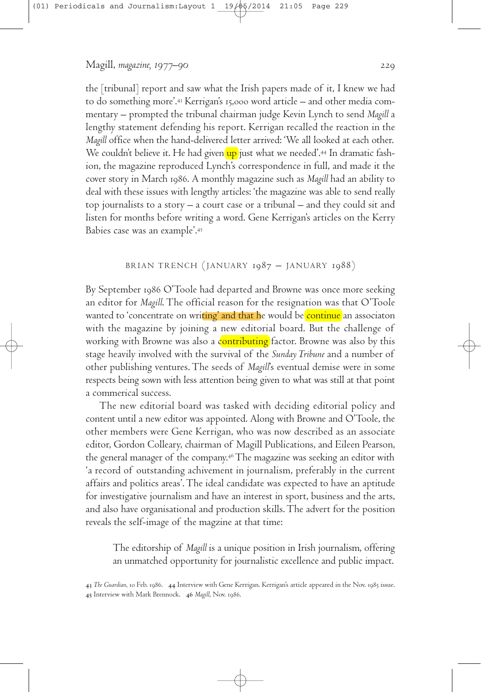the [tribunal] report and saw what the Irish papers made of it, I knew we had to do something more'.43 Kerrigan's 15,000 word article – and other media commentary – prompted the tribunal chairman judge Kevin Lynch to send *Magill* a lengthy statement defending his report. Kerrigan recalled the reaction in the *Magill* office when the hand-delivered letter arrived: 'We all looked at each other. We couldn't believe it. He had given<mark>'up </mark>just what we needed'.<sup>44</sup> In dramatic fashion, the magazine reproduced Lynch's correspondence in full, and made it the cover story in March 1986. A monthly magazine such as *Magill* had an ability to deal with these issues with lengthy articles: 'the magazine was able to send really top journalists to a story – a court case or a tribunal – and they could sit and listen for months before writing a word. Gene Kerrigan's articles on the Kerry Babies case was an example'.

### BRIAN TRENCH (JANUARY  $1987 - JANUARY$   $1988$ )

By September 1986 O'Toole had departed and Browne was once more seeking an editor for *Magill*.The official reason for the resignation was that O'Toole wanted to 'concentrate on writing' and that he would be continue an associaton with the magazine by joining a new editorial board. But the challenge of working with Browne was also a contributing factor. Browne was also by this stage heavily involved with the survival of the *Sunday Tribune* and a number of other publishing ventures.The seeds of *Magill*'s eventual demise were in some respects being sown with less attention being given to what was still at that point a commerical success.

The new editorial board was tasked with deciding editorial policy and content until a new editor was appointed. Along with Browne and O'Toole, the other members were Gene Kerrigan, who was now described as an associate editor, Gordon Colleary, chairman of Magill Publications, and Eileen Pearson, the general manager of the company. The magazine was seeking an editor with 'a record of outstanding achivement in journalism, preferably in the current affairs and politics areas'.The ideal candidate was expected to have an aptitude for investigative journalism and have an interest in sport, business and the arts, and also have organisational and production skills.The advert for the position reveals the self-image of the magzine at that time:

The editorship of *Magill* is a unique position in Irish journalism, offering an unmatched opportunity for journalistic excellence and public impact.

<sup>43</sup> The Guardian, 10 Feb. 1986. 44 Interview with Gene Kerrigan. Kerrigan's article appeared in the Nov. 1985 issue. 45 Interview with Mark Brennock. 46 Magill, Nov. 1986.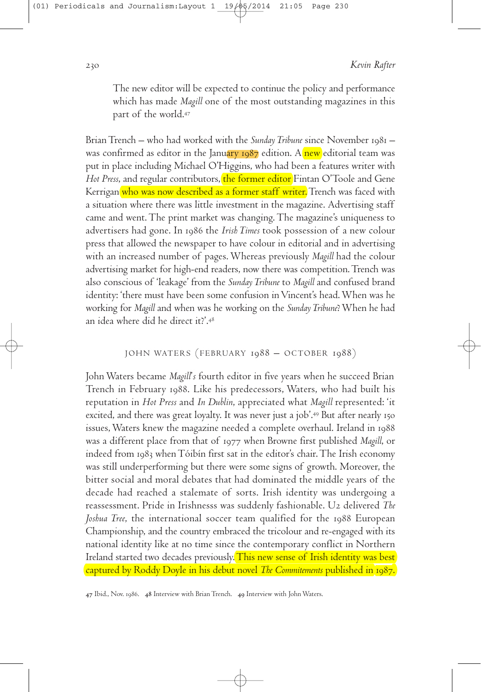The new editor will be expected to continue the policy and performance which has made *Magill* one of the most outstanding magazines in this part of the world.

BrianTrench – who had worked with the *Sunday Tribune* since November – was confirmed as editor in the January  $1987$  edition. A new editorial team was put in place including Michael O'Higgins, who had been a features writer with *Hot Press*, and regular contributors, the former editor Fintan O'Toole and Gene Kerrigan who was now described as a former staff writer. Trench was faced with a situation where there was little investment in the magazine. Advertising staff came and went.The print market was changing.The magazine's uniqueness to advertisers had gone. In 1986 the *Irish Times* took possession of a new colour press that allowed the newspaper to have colour in editorial and in advertising with an increased number of pages.Whereas previously *Magill* had the colour advertising market for high-end readers, now there was competition.Trench was also conscious of 'leakage' from the *SundayTribune* to *Magill* and confused brand identity: 'there must have been some confusion inVincent's head.When was he working for *Magill* and when was he working on the *SundayTribune*?When he had an idea where did he direct it?'.

## JOHN WATERS (FEBRUARY 1988 - OCTOBER 1988)

JohnWaters became *Magill*'*s* fourth editor in five years when he succeed Brian Trench in February 1988. Like his predecessors, Waters, who had built his reputation in *Hot Press* and *In Dublin*, appreciated what *Magill* represented: 'it excited, and there was great loyalty. It was never just a job'.49 But after nearly 150 issues,Waters knew the magazine needed a complete overhaul. Ireland in was a different place from that of 1977 when Browne first published *Magill*, or indeed from  $1983$  when  $T\acute{o}$ ibín first sat in the editor's chair. The Irish economy was still underperforming but there were some signs of growth. Moreover, the bitter social and moral debates that had dominated the middle years of the decade had reached a stalemate of sorts. Irish identity was undergoing a reassessment. Pride in Irishnesss was suddenly fashionable. U2 delivered *The Joshua Tree*, the international soccer team qualified for the 1988 European Championship, and the country embraced the tricolour and re-engaged with its national identity like at no time since the contemporary conflict in Northern Ireland started two decades previously. This new sense of Irish identity was best captured by Roddy Doyle in his debut novel *The Commitements* published in .

47 Ibid., Nov. 1986. 48 Interview with Brian Trench. 49 Interview with John Waters.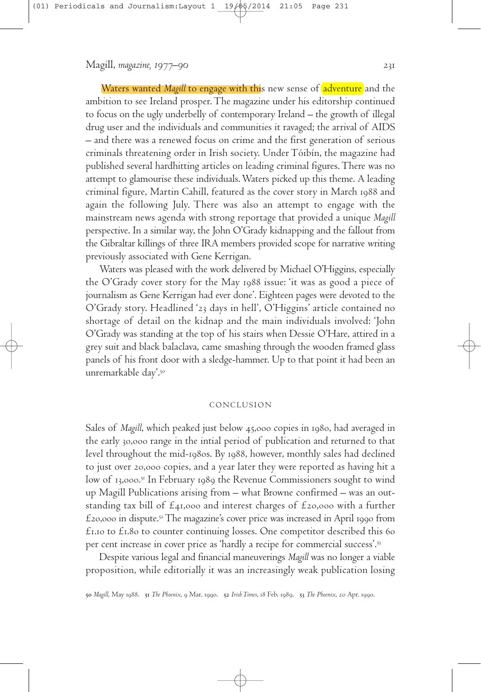Waters wanted *Magill* to engage with this new sense of adventure and the ambition to see Ireland prosper.The magazine under his editorship continued to focus on the ugly underbelly of contemporary Ireland – the growth of illegal drug user and the individuals and communities it ravaged; the arrival of AIDS – and there was a renewed focus on crime and the first generation of serious criminals threatening order in Irish society. UnderTóibín, the magazine had published several hardhitting articles on leading criminal figures.There was no attempt to glamourise these individuals.Waters picked up this theme. A leading criminal figure, Martin Cahill, featured as the cover story in March 1988 and again the following July. There was also an attempt to engage with the mainstream news agenda with strong reportage that provided a unique *Magill* perspective. In a similar way, the John O'Grady kidnapping and the fallout from the Gibraltar killings of three IRA members provided scope for narrative writing previously associated with Gene Kerrigan.

Waters was pleased with the work delivered by Michael O'Higgins, especially the O'Grady cover story for the May issue: 'it was as good a piece of journalism as Gene Kerrigan had ever done'. Eighteen pages were devoted to the O'Grady story. Headlined '23 days in hell', O'Higgins' article contained no shortage of detail on the kidnap and the main individuals involved: 'John O'Grady was standing at the top of his stairs when Dessie O'Hare, attired in a grey suit and black balaclava, came smashing through the wooden framed glass panels of his front door with a sledge-hammer. Up to that point it had been an unremarkable day'.

#### **CONCLUSION**

Sales of *Magill*, which peaked just below 45,000 copies in 1980, had averaged in the early 30,000 range in the intial period of publication and returned to that level throughout the mid-1980s. By 1988, however, monthly sales had declined to just over 20,000 copies, and a year later they were reported as having hit a low of 13,000.51 In February 1989 the Revenue Commissioners sought to wind up Magill Publications arising from – what Browne confirmed – was an outstanding tax bill of  $\mathcal{E}_{41,000}$  and interest charges of  $\mathcal{E}_{20,000}$  with a further  $\pounds$ 20,000 in dispute. $^{52}$  The magazine's cover price was increased in April 1990 from  $£1.10$  to  $£1.80$  to counter continuing losses. One competitor described this 60 per cent increase in cover price as 'hardly a recipe for commercial success'.

Despite various legal and financial maneuverings *Magill* was no longer a viable proposition, while editorially it was an increasingly weak publication losing

50 Magill, May 1988. 51 The Phoenix, 9 Mar. 1990. 52 Irish Times, 18 Feb. 1989. 53 The Phoenix, 20 Apr. 1990.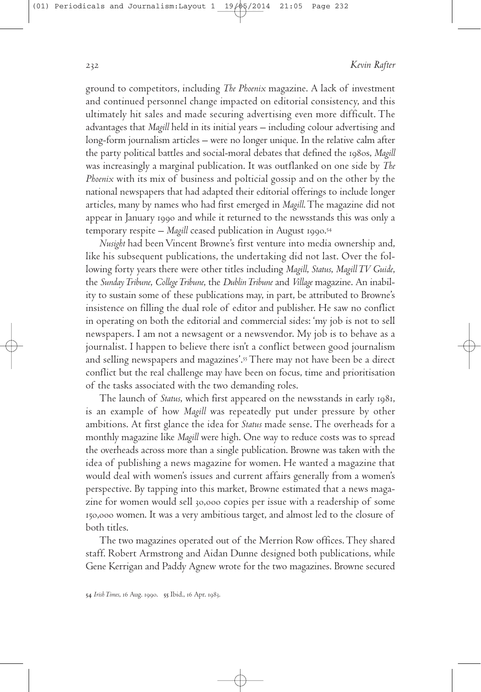ground to competitors, including *The Phoenix* magazine. A lack of investment and continued personnel change impacted on editorial consistency, and this ultimately hit sales and made securing advertising even more difficult. The advantages that *Magill* held in its initial years – including colour advertising and long-form journalism articles – were no longer unique. In the relative calm after the party political battles and social-moral debates that defined the 1980s, *Magill* was increasingly a marginal publication. It was outflanked on one side by *The Phoenix* with its mix of business and polticial gossip and on the other by the national newspapers that had adapted their editorial offerings to include longer articles, many by names who had first emerged in *Magill*.The magazine did not appear in January 1990 and while it returned to the newsstands this was only a temporary respite – *Magill* ceased publication in August .

*Nusight* had been Vincent Browne's first venture into media ownership and, like his subsequent publications, the undertaking did not last. Over the following forty years there were other titles including *Magill*, *Status*, *MagillTV Guide*, the *SundayTribune*, *CollegeTribune*, the *DublinTribune* and *Village* magazine. An inability to sustain some of these publications may, in part, be attributed to Browne's insistence on filling the dual role of editor and publisher. He saw no conflict in operating on both the editorial and commercial sides: 'my job is not to sell newspapers. I am not a newsagent or a newsvendor. My job is to behave as a journalist. I happen to believe there isn't a conflict between good journalism and selling newspapers and magazines'. There may not have been be a direct conflict but the real challenge may have been on focus, time and prioritisation of the tasks associated with the two demanding roles.

The launch of *Status*, which first appeared on the newsstands in early 1981, is an example of how *Magill* was repeatedly put under pressure by other ambitions. At first glance the idea for *Status* made sense.The overheads for a monthly magazine like *Magill* were high. One way to reduce costs was to spread the overheads across more than a single publication. Browne was taken with the idea of publishing a news magazine for women. He wanted a magazine that would deal with women's issues and current affairs generally from a women's perspective. By tapping into this market, Browne estimated that a news magazine for women would sell 30,000 copies per issue with a readership of some 150,000 women. It was a very ambitious target, and almost led to the closure of both titles.

The two magazines operated out of the Merrion Row offices.They shared staff. Robert Armstrong and Aidan Dunne designed both publications, while Gene Kerrigan and Paddy Agnew wrote for the two magazines. Browne secured

54 Irish Times, 16 Aug. 1990. 55 Ibid., 16 Apr. 1983.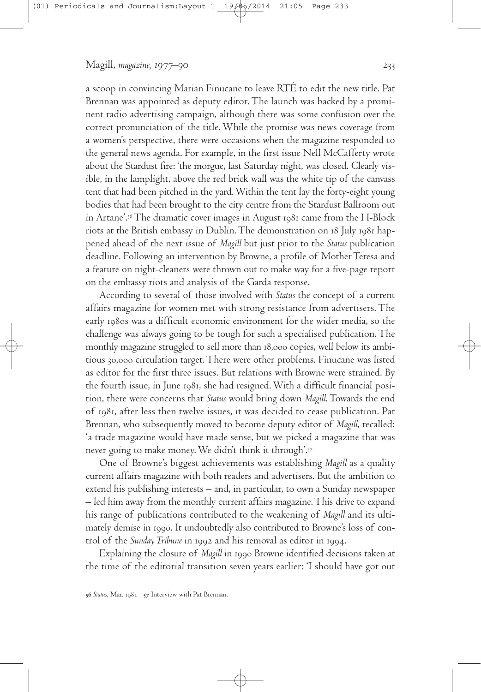a scoop in convincing Marian Finucane to leave RTÉ to edit the new title. Pat Brennan was appointed as deputy editor.The launch was backed by a prominent radio advertising campaign, although there was some confusion over the correct pronunciation of the title.While the promise was news coverage from a women's perspective, there were occasions when the magazine responded to the general news agenda. For example, in the first issue Nell McCafferty wrote about the Stardust fire: 'the morgue, last Saturday night, was closed. Clearly visible, in the lamplight, above the red brick wall was the white tip of the canvass tent that had been pitched in the yard.Within the tent lay the forty-eight young bodies that had been brought to the city centre from the Stardust Ballroom out in Artane'.56 The dramatic cover images in August 1981 came from the H-Block riots at the British embassy in Dublin. The demonstration on 18 July 1981 happened ahead of the next issue of *Magill* but just prior to the *Status* publication deadline. Following an intervention by Browne, a profile of MotherTeresa and a feature on night-cleaners were thrown out to make way for a five-page report on the embassy riots and analysis of the Garda response.

According to several of those involved with *Status* the concept of a current affairs magazine for women met with strong resistance from advertisers.The early 1980s was a difficult economic environment for the wider media, so the challenge was always going to be tough for such a specialised publication.The monthly magazine struggled to sell more than 18,000 copies, well below its ambitious 30,000 circulation target. There were other problems. Finucane was listed as editor for the first three issues. But relations with Browne were strained. By the fourth issue, in June 1981, she had resigned. With a difficult financial position, there were concerns that *Status* would bring down *Magill*.Towards the end of 1981, after less then twelve issues, it was decided to cease publication. Pat Brennan, who subsequently moved to become deputy editor of *Magill*, recalled: 'a trade magazine would have made sense, but we picked a magazine that was never going to make money.We didn't think it through'.

One of Browne's biggest achievements was establishing *Magill* as a quality current affairs magazine with both readers and advertisers. But the ambition to extend his publishing interests – and, in particular, to own a Sunday newspaper – led him away from the monthly current affairs magazine.This drive to expand his range of publications contributed to the weakening of *Magill* and its ultimately demise in 1990. It undoubtedly also contributed to Browne's loss of control of the *Sunday Tribune* in 1992 and his removal as editor in 1994.

Explaining the closure of *Magill* in 1990 Browne identified decisions taken at the time of the editorial transition seven years earlier: 'I should have got out

56 Status, Mar. 1981. 57 Interview with Pat Brennan.